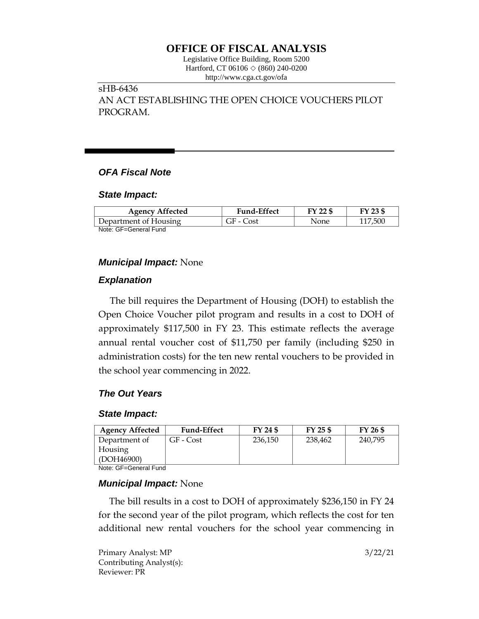# **OFFICE OF FISCAL ANALYSIS**

Legislative Office Building, Room 5200 Hartford, CT 06106 ◇ (860) 240-0200 http://www.cga.ct.gov/ofa

sHB-6436 AN ACT ESTABLISHING THE OPEN CHOICE VOUCHERS PILOT PROGRAM.

## *OFA Fiscal Note*

### *State Impact:*

| <b>Agency Affected</b> | <b>Fund-Effect</b> | FY 22 \$ | FY 23 \$ |
|------------------------|--------------------|----------|----------|
| Department of Housing  | GF - Cost          | None     | 117,500  |
| Note: GF=General Fund  |                    |          |          |

## *Municipal Impact:* None

## *Explanation*

The bill requires the Department of Housing (DOH) to establish the Open Choice Voucher pilot program and results in a cost to DOH of approximately \$117,500 in FY 23. This estimate reflects the average annual rental voucher cost of \$11,750 per family (including \$250 in administration costs) for the ten new rental vouchers to be provided in the school year commencing in 2022.

## *The Out Years*

## *State Impact:*

| <b>Agency Affected</b> | <b>Fund-Effect</b> | FY 24 \$ | $FY$ 25 \$ | FY 26 \$ |
|------------------------|--------------------|----------|------------|----------|
| Department of          | GF - Cost          | 236.150  | 238,462    | 240.795  |
| Housing                |                    |          |            |          |
| (DOH46900)             |                    |          |            |          |
| Nota: OF Conoral Fund  |                    |          |            |          |

Note: GF=General Fund

## *Municipal Impact:* None

The bill results in a cost to DOH of approximately \$236,150 in FY 24 for the second year of the pilot program, which reflects the cost for ten additional new rental vouchers for the school year commencing in

Primary Analyst: MP 3/22/21 Contributing Analyst(s): Reviewer: PR